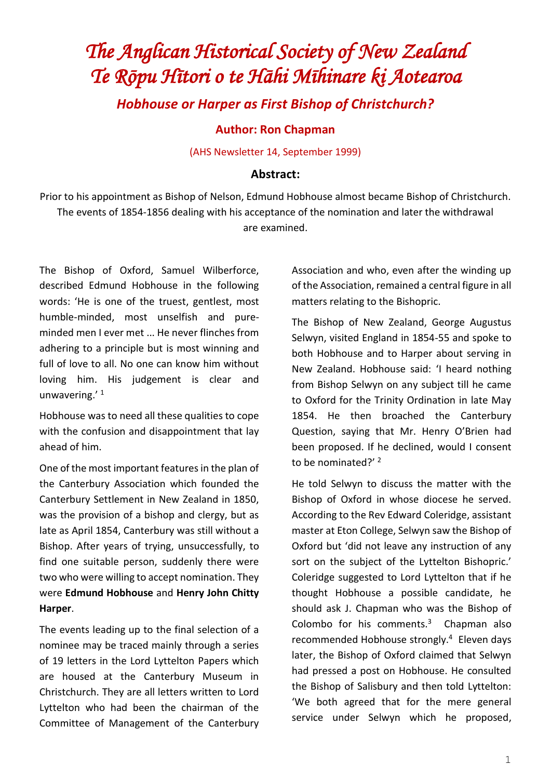## *The Anglican Historical Society of New Zealand Te Rōpu Hītori o te Hāhi Mīhinare ki Aotearoa Hobhouse or Harper as First Bishop of Christchurch?*

**Author: Ron Chapman**

(AHS Newsletter 14, September 1999)

## **Abstract:**

Prior to his appointment as Bishop of Nelson, Edmund Hobhouse almost became Bishop of Christchurch. The events of 1854-1856 dealing with his acceptance of the nomination and later the withdrawal are examined.

The Bishop of Oxford, Samuel Wilberforce, described Edmund Hobhouse in the following words: 'He is one of the truest, gentlest, most humble-minded, most unselfish and pureminded men I ever met ... He never flinches from adhering to a principle but is most winning and full of love to all. No one can know him without loving him. His judgement is clear and unwavering.' 1

Hobhouse was to need all these qualities to cope with the confusion and disappointment that lay ahead of him.

One of the most important features in the plan of the Canterbury Association which founded the Canterbury Settlement in New Zealand in 1850, was the provision of a bishop and clergy, but as late as April 1854, Canterbury was still without a Bishop. After years of trying, unsuccessfully, to find one suitable person, suddenly there were two who were willing to accept nomination. They were **Edmund Hobhouse** and **Henry John Chitty Harper**.

The events leading up to the final selection of a nominee may be traced mainly through a series of 19 letters in the Lord Lyttelton Papers which are housed at the Canterbury Museum in Christchurch. They are all letters written to Lord Lyttelton who had been the chairman of the Committee of Management of the Canterbury Association and who, even after the winding up of the Association, remained a central figure in all matters relating to the Bishopric.

The Bishop of New Zealand, George Augustus Selwyn, visited England in 1854-55 and spoke to both Hobhouse and to Harper about serving in New Zealand. Hobhouse said: 'I heard nothing from Bishop Selwyn on any subject till he came to Oxford for the Trinity Ordination in late May 1854. He then broached the Canterbury Question, saying that Mr. Henry O'Brien had been proposed. If he declined, would I consent to be nominated?'<sup>2</sup>

He told Selwyn to discuss the matter with the Bishop of Oxford in whose diocese he served. According to the Rev Edward Coleridge, assistant master at Eton College, Selwyn saw the Bishop of Oxford but 'did not leave any instruction of any sort on the subject of the Lyttelton Bishopric.' Coleridge suggested to Lord Lyttelton that if he thought Hobhouse a possible candidate, he should ask J. Chapman who was the Bishop of Colombo for his comments. $3$  Chapman also recommended Hobhouse strongly.<sup>4</sup> Eleven days later, the Bishop of Oxford claimed that Selwyn had pressed a post on Hobhouse. He consulted the Bishop of Salisbury and then told Lyttelton: 'We both agreed that for the mere general service under Selwyn which he proposed,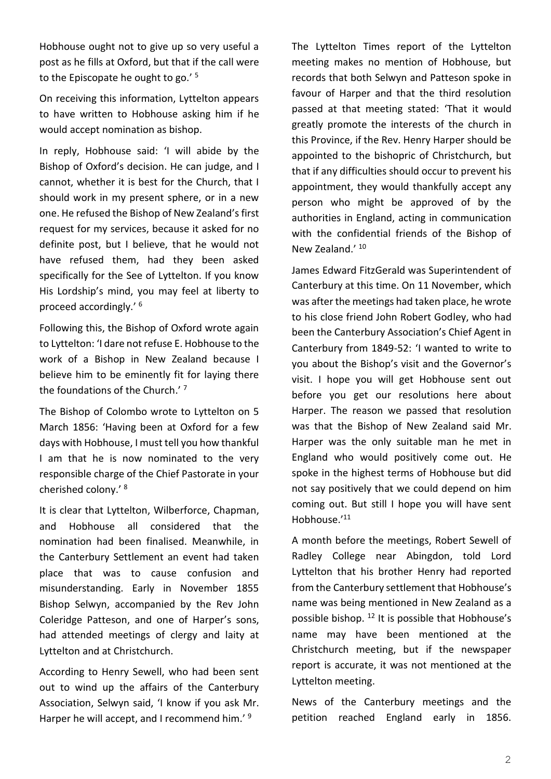Hobhouse ought not to give up so very useful a post as he fills at Oxford, but that if the call were to the Episcopate he ought to go.'<sup>5</sup>

On receiving this information, Lyttelton appears to have written to Hobhouse asking him if he would accept nomination as bishop.

In reply, Hobhouse said: 'I will abide by the Bishop of Oxford's decision. He can judge, and I cannot, whether it is best for the Church, that I should work in my present sphere, or in a new one. He refused the Bishop of New Zealand's first request for my services, because it asked for no definite post, but I believe, that he would not have refused them, had they been asked specifically for the See of Lyttelton. If you know His Lordship's mind, you may feel at liberty to proceed accordingly.' 6

Following this, the Bishop of Oxford wrote again to Lyttelton: 'I dare not refuse E. Hobhouse to the work of a Bishop in New Zealand because I believe him to be eminently fit for laying there the foundations of the Church.'<sup>7</sup>

The Bishop of Colombo wrote to Lyttelton on 5 March 1856: 'Having been at Oxford for a few days with Hobhouse, I must tell you how thankful I am that he is now nominated to the very responsible charge of the Chief Pastorate in your cherished colony.' 8

It is clear that Lyttelton, Wilberforce, Chapman, and Hobhouse all considered that the nomination had been finalised. Meanwhile, in the Canterbury Settlement an event had taken place that was to cause confusion and misunderstanding. Early in November 1855 Bishop Selwyn, accompanied by the Rev John Coleridge Patteson, and one of Harper's sons, had attended meetings of clergy and laity at Lyttelton and at Christchurch.

According to Henry Sewell, who had been sent out to wind up the affairs of the Canterbury Association, Selwyn said, 'I know if you ask Mr. Harper he will accept, and I recommend him.'<sup>9</sup>

The Lyttelton Times report of the Lyttelton meeting makes no mention of Hobhouse, but records that both Selwyn and Patteson spoke in favour of Harper and that the third resolution passed at that meeting stated: 'That it would greatly promote the interests of the church in this Province, if the Rev. Henry Harper should be appointed to the bishopric of Christchurch, but that if any difficulties should occur to prevent his appointment, they would thankfully accept any person who might be approved of by the authorities in England, acting in communication with the confidential friends of the Bishop of New Zealand.' 10

James Edward FitzGerald was Superintendent of Canterbury at this time. On 11 November, which was after the meetings had taken place, he wrote to his close friend John Robert Godley, who had been the Canterbury Association's Chief Agent in Canterbury from 1849-52: 'I wanted to write to you about the Bishop's visit and the Governor's visit. I hope you will get Hobhouse sent out before you get our resolutions here about Harper. The reason we passed that resolution was that the Bishop of New Zealand said Mr. Harper was the only suitable man he met in England who would positively come out. He spoke in the highest terms of Hobhouse but did not say positively that we could depend on him coming out. But still I hope you will have sent Hobhouse.' 11

A month before the meetings, Robert Sewell of Radley College near Abingdon, told Lord Lyttelton that his brother Henry had reported from the Canterbury settlement that Hobhouse's name was being mentioned in New Zealand as a possible bishop. <sup>12</sup> It is possible that Hobhouse's name may have been mentioned at the Christchurch meeting, but if the newspaper report is accurate, it was not mentioned at the Lyttelton meeting.

News of the Canterbury meetings and the petition reached England early in 1856.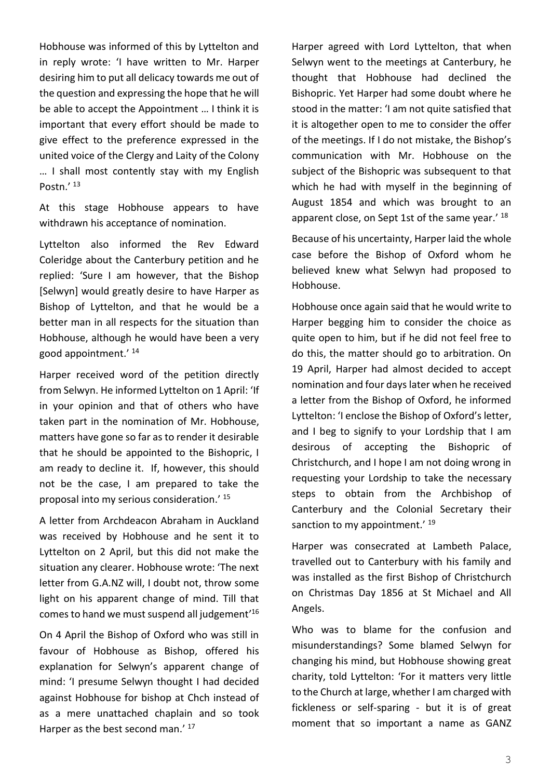Hobhouse was informed of this by Lyttelton and in reply wrote: 'I have written to Mr. Harper desiring him to put all delicacy towards me out of the question and expressing the hope that he will be able to accept the Appointment … I think it is important that every effort should be made to give effect to the preference expressed in the united voice of the Clergy and Laity of the Colony … I shall most contently stay with my English Postn.' 13

At this stage Hobhouse appears to have withdrawn his acceptance of nomination.

Lyttelton also informed the Rev Edward Coleridge about the Canterbury petition and he replied: 'Sure I am however, that the Bishop [Selwyn] would greatly desire to have Harper as Bishop of Lyttelton, and that he would be a better man in all respects for the situation than Hobhouse, although he would have been a very good appointment.' 14

Harper received word of the petition directly from Selwyn. He informed Lyttelton on 1 April: 'If in your opinion and that of others who have taken part in the nomination of Mr. Hobhouse, matters have gone so far as to render it desirable that he should be appointed to the Bishopric, I am ready to decline it. If, however, this should not be the case, I am prepared to take the proposal into my serious consideration.' 15

A letter from Archdeacon Abraham in Auckland was received by Hobhouse and he sent it to Lyttelton on 2 April, but this did not make the situation any clearer. Hobhouse wrote: 'The next letter from G.A.NZ will, I doubt not, throw some light on his apparent change of mind. Till that comes to hand we must suspend all judgement' 16

On 4 April the Bishop of Oxford who was still in favour of Hobhouse as Bishop, offered his explanation for Selwyn's apparent change of mind: 'I presume Selwyn thought I had decided against Hobhouse for bishop at Chch instead of as a mere unattached chaplain and so took Harper as the best second man.'<sup>17</sup>

Harper agreed with Lord Lyttelton, that when Selwyn went to the meetings at Canterbury, he thought that Hobhouse had declined the Bishopric. Yet Harper had some doubt where he stood in the matter: 'I am not quite satisfied that it is altogether open to me to consider the offer of the meetings. If I do not mistake, the Bishop's communication with Mr. Hobhouse on the subject of the Bishopric was subsequent to that which he had with myself in the beginning of August 1854 and which was brought to an apparent close, on Sept 1st of the same year.' 18

Because of his uncertainty, Harper laid the whole case before the Bishop of Oxford whom he believed knew what Selwyn had proposed to Hobhouse.

Hobhouse once again said that he would write to Harper begging him to consider the choice as quite open to him, but if he did not feel free to do this, the matter should go to arbitration. On 19 April, Harper had almost decided to accept nomination and four days later when he received a letter from the Bishop of Oxford, he informed Lyttelton: 'I enclose the Bishop of Oxford's letter, and I beg to signify to your Lordship that I am desirous of accepting the Bishopric of Christchurch, and I hope I am not doing wrong in requesting your Lordship to take the necessary steps to obtain from the Archbishop of Canterbury and the Colonial Secretary their sanction to my appointment.'  $19$ 

Harper was consecrated at Lambeth Palace, travelled out to Canterbury with his family and was installed as the first Bishop of Christchurch on Christmas Day 1856 at St Michael and All Angels.

Who was to blame for the confusion and misunderstandings? Some blamed Selwyn for changing his mind, but Hobhouse showing great charity, told Lyttelton: 'For it matters very little to the Church at large, whether I am charged with fickleness or self-sparing - but it is of great moment that so important a name as GANZ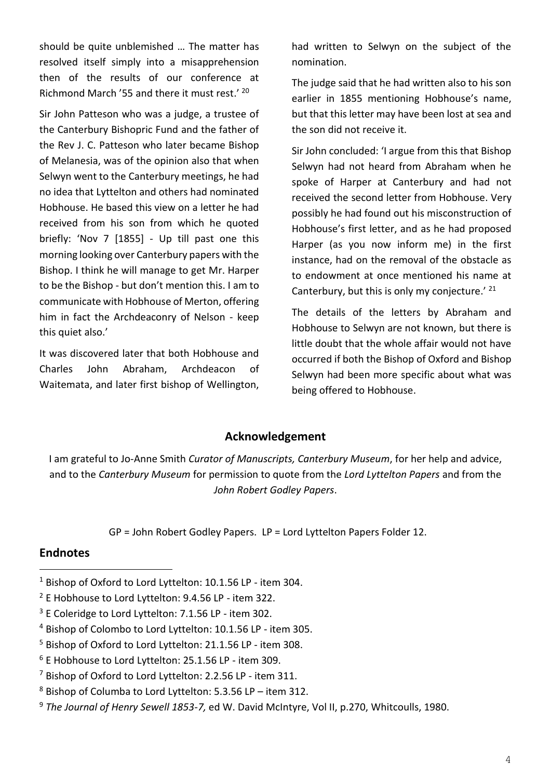should be quite unblemished … The matter has resolved itself simply into a misapprehension then of the results of our conference at Richmond March '55 and there it must rest.' <sup>20</sup>

Sir John Patteson who was a judge, a trustee of the Canterbury Bishopric Fund and the father of the Rev J. C. Patteson who later became Bishop of Melanesia, was of the opinion also that when Selwyn went to the Canterbury meetings, he had no idea that Lyttelton and others had nominated Hobhouse. He based this view on a letter he had received from his son from which he quoted briefly: 'Nov 7 [1855] - Up till past one this morning looking over Canterbury papers with the Bishop. I think he will manage to get Mr. Harper to be the Bishop - but don't mention this. I am to communicate with Hobhouse of Merton, offering him in fact the Archdeaconry of Nelson - keep this quiet also.'

It was discovered later that both Hobhouse and Charles John Abraham, Archdeacon of Waitemata, and later first bishop of Wellington, had written to Selwyn on the subject of the nomination.

The judge said that he had written also to his son earlier in 1855 mentioning Hobhouse's name, but that this letter may have been lost at sea and the son did not receive it.

Sir John concluded: 'I argue from this that Bishop Selwyn had not heard from Abraham when he spoke of Harper at Canterbury and had not received the second letter from Hobhouse. Very possibly he had found out his misconstruction of Hobhouse's first letter, and as he had proposed Harper (as you now inform me) in the first instance, had on the removal of the obstacle as to endowment at once mentioned his name at Canterbury, but this is only my conjecture.'  $21$ 

The details of the letters by Abraham and Hobhouse to Selwyn are not known, but there is little doubt that the whole affair would not have occurred if both the Bishop of Oxford and Bishop Selwyn had been more specific about what was being offered to Hobhouse.

## **Acknowledgement**

I am grateful to Jo-Anne Smith *Curator of Manuscripts, Canterbury Museum*, for her help and advice, and to the *Canterbury Museum* for permission to quote from the *Lord Lyttelton Papers* and from the *John Robert Godley Papers*.

GP = John Robert Godley Papers. LP = Lord Lyttelton Papers Folder 12.

## **Endnotes**

<sup>1</sup> Bishop of Oxford to Lord Lyttelton: 10.1.56 LP - item 304.

<sup>2</sup> E Hobhouse to Lord Lyttelton: 9.4.56 LP - item 322.

<sup>&</sup>lt;sup>3</sup> E Coleridge to Lord Lyttelton: 7.1.56 LP - item 302.

<sup>4</sup> Bishop of Colombo to Lord Lyttelton: 10.1.56 LP - item 305.

<sup>5</sup> Bishop of Oxford to Lord Lyttelton: 21.1.56 LP - item 308.

 $6$  E Hobhouse to Lord Lyttelton: 25.1.56 LP - item 309.

<sup>7</sup> Bishop of Oxford to Lord Lyttelton: 2.2.56 LP - item 311.

 $8$  Bishop of Columba to Lord Lyttelton: 5.3.56 LP – item 312.

<sup>9</sup> *The Journal of Henry Sewell 1853-7,* ed W. David McIntyre, Vol II, p.270, Whitcoulls, 1980.